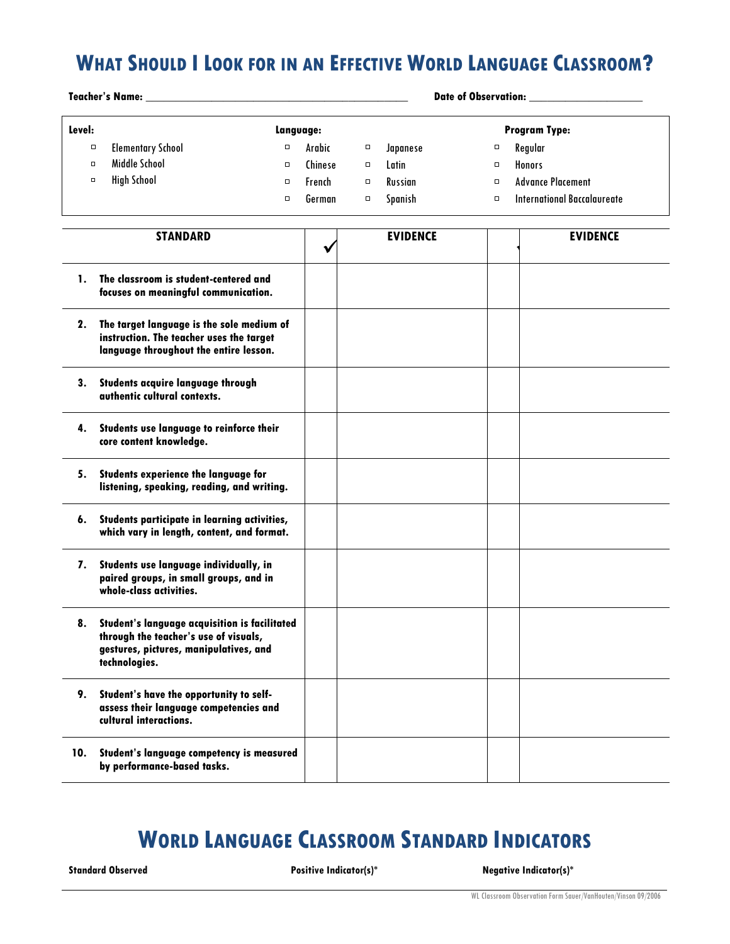## **WHAT SHOULD I LOOK FOR IN AN EFFECTIVE WORLD LANGUAGE CLASSROOM?**

**Teacher's Name: \_\_\_\_\_\_\_\_\_\_\_\_\_\_\_\_\_\_\_\_\_\_\_\_\_\_\_\_\_\_\_\_\_\_\_\_\_\_\_\_\_\_\_\_ Date of Observation: \_\_\_\_\_\_\_\_\_\_\_\_\_\_\_\_\_\_\_**

| Level: | Langvage:                |   |         |        |          | <b>Program Type:</b> |                             |  |
|--------|--------------------------|---|---------|--------|----------|----------------------|-----------------------------|--|
| $\Box$ | <b>Elementary School</b> | о | Arabic  | о      | Japanese | $\Box$               | Regular                     |  |
| $\Box$ | Middle School            | о | Chinese | о      | Latin    | $\Box$               | Honors                      |  |
| $\Box$ | <b>High School</b>       | O | French  | $\Box$ | Russian  | $\Box$               | <b>Advance Placement</b>    |  |
|        |                          | Ο | German  | $\Box$ | Spanish  | $\Box$               | International Baccalaureate |  |

|     | <b>STANDARD</b>                                                                                                                                   | <b>EVIDENCE</b> | <b>EVIDENCE</b> |
|-----|---------------------------------------------------------------------------------------------------------------------------------------------------|-----------------|-----------------|
| 1.  | The classroom is student-centered and<br>focuses on meaningful communication.                                                                     |                 |                 |
| 2.  | The target language is the sole medium of<br>instruction. The teacher uses the target<br>language throughout the entire lesson.                   |                 |                 |
| 3.  | Students acquire language through<br>authentic cultural contexts.                                                                                 |                 |                 |
| 4.  | Students use language to reinforce their<br>core content knowledge.                                                                               |                 |                 |
| 5.  | <b>Students experience the language for</b><br>listening, speaking, reading, and writing.                                                         |                 |                 |
| 6.  | Students participate in learning activities,<br>which vary in length, content, and format.                                                        |                 |                 |
| 7.  | Students use language individually, in<br>paired groups, in small groups, and in<br>whole-class activities.                                       |                 |                 |
| 8.  | Student's language acquisition is facilitated<br>through the teacher's use of visuals,<br>gestures, pictures, manipulatives, and<br>technologies. |                 |                 |
| 9.  | Student's have the opportunity to self-<br>assess their language competencies and<br>cultural interactions.                                       |                 |                 |
| 10. | Student's language competency is measured<br>by performance-based tasks.                                                                          |                 |                 |

## **WORLD LANGUAGE CLASSROOM STANDARD INDICATORS**

**Standard Observed Positive Indicator(s)\* Negative Indicator(s)\***